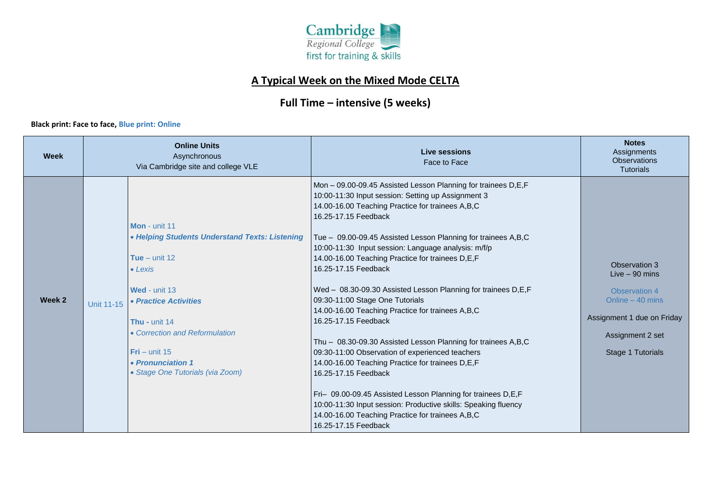

## **A Typical Week on the Mixed Mode CELTA**

## **Full Time – intensive (5 weeks)**

## **Black print: Face to face, Blue print: Online Black print: Face to face, Blue print: Online**

| <b>Week</b> | <b>Online Units</b><br>Asynchronous<br>Via Cambridge site and college VLE |                                                                                                                                                                                                                                                                                | Live sessions<br>Face to Face                                                                                                                                                                                                                                                                                                                                                                                                                                                                                                                                                                                                                                                                                                                                                                                                                                                                                                                                                                       | <b>Notes</b><br>Assignments<br><b>Observations</b><br><b>Tutorials</b>                                                                       |
|-------------|---------------------------------------------------------------------------|--------------------------------------------------------------------------------------------------------------------------------------------------------------------------------------------------------------------------------------------------------------------------------|-----------------------------------------------------------------------------------------------------------------------------------------------------------------------------------------------------------------------------------------------------------------------------------------------------------------------------------------------------------------------------------------------------------------------------------------------------------------------------------------------------------------------------------------------------------------------------------------------------------------------------------------------------------------------------------------------------------------------------------------------------------------------------------------------------------------------------------------------------------------------------------------------------------------------------------------------------------------------------------------------------|----------------------------------------------------------------------------------------------------------------------------------------------|
| Week 2      | Unit 11-15                                                                | Mon - unit 11<br>• Helping Students Understand Texts: Listening<br>Tue $-$ unit 12<br>$\bullet$ Lexis<br>Wed - unit 13<br>• Practice Activities<br>Thu - unit 14<br>• Correction and Reformulation<br>$Fri$ – unit 15<br>• Pronunciation 1<br>• Stage One Tutorials (via Zoom) | Mon - 09.00-09.45 Assisted Lesson Planning for trainees D,E,F<br>10:00-11:30 Input session: Setting up Assignment 3<br>14.00-16.00 Teaching Practice for trainees A,B,C<br>16.25-17.15 Feedback<br>Tue - 09.00-09.45 Assisted Lesson Planning for trainees A,B,C<br>10:00-11:30 Input session: Language analysis: m/f/p<br>14.00-16.00 Teaching Practice for trainees D,E,F<br>16.25-17.15 Feedback<br>Wed - 08.30-09.30 Assisted Lesson Planning for trainees D, E, F<br>09:30-11:00 Stage One Tutorials<br>14.00-16.00 Teaching Practice for trainees A,B,C<br>16.25-17.15 Feedback<br>Thu - 08.30-09.30 Assisted Lesson Planning for trainees A,B,C<br>09:30-11:00 Observation of experienced teachers<br>14.00-16.00 Teaching Practice for trainees D,E,F<br>16.25-17.15 Feedback<br>Fri- 09.00-09.45 Assisted Lesson Planning for trainees D,E,F<br>10:00-11:30 Input session: Productive skills: Speaking fluency<br>14.00-16.00 Teaching Practice for trainees A,B,C<br>16.25-17.15 Feedback | Observation 3<br>Live $-90$ mins<br>Observation 4<br>Online - 40 mins<br>Assignment 1 due on Friday<br>Assignment 2 set<br>Stage 1 Tutorials |